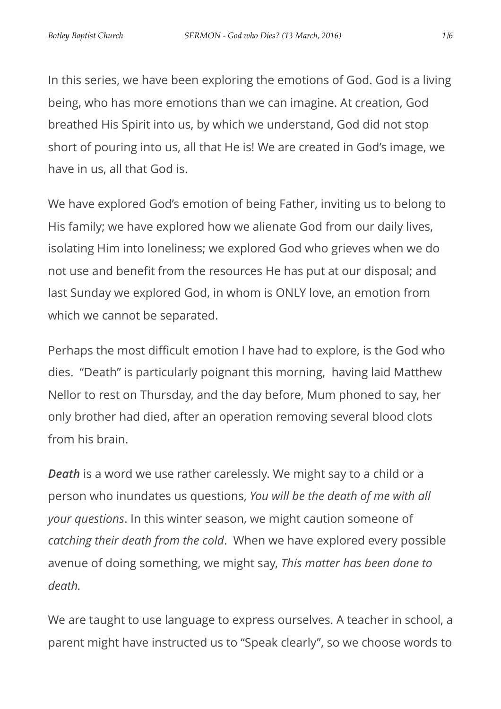In this series, we have been exploring the emotions of God. God is a living being, who has more emotions than we can imagine. At creation, God breathed His Spirit into us, by which we understand, God did not stop short of pouring into us, all that He is! We are created in God's image, we have in us, all that God is.

We have explored God's emotion of being Father, inviting us to belong to His family; we have explored how we alienate God from our daily lives, isolating Him into loneliness; we explored God who grieves when we do not use and benefit from the resources He has put at our disposal; and last Sunday we explored God, in whom is ONLY love, an emotion from which we cannot be separated.

Perhaps the most difficult emotion I have had to explore, is the God who dies. "Death" is particularly poignant this morning, having laid Matthew Nellor to rest on Thursday, and the day before, Mum phoned to say, her only brother had died, after an operation removing several blood clots from his brain.

*Death* is a word we use rather carelessly. We might say to a child or a person who inundates us questions, *You will be the death of me with all your questions*. In this winter season, we might caution someone of *catching their death from the cold*. When we have explored every possible avenue of doing something, we might say, *This matter has been done to death.* 

We are taught to use language to express ourselves. A teacher in school, a parent might have instructed us to "Speak clearly", so we choose words to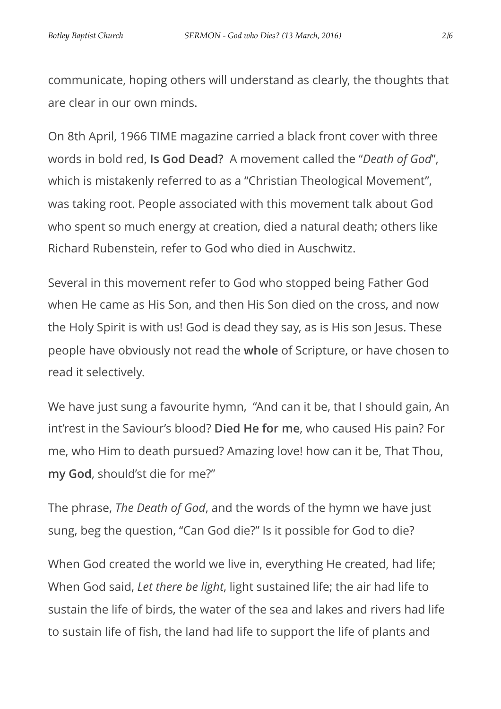communicate, hoping others will understand as clearly, the thoughts that are clear in our own minds.

On 8th April, 1966 TIME magazine carried a black front cover with three words in bold red, **Is God Dead?** A movement called the "*Death of God*", which is mistakenly referred to as a "Christian Theological Movement", was taking root. People associated with this movement talk about God who spent so much energy at creation, died a natural death; others like Richard Rubenstein, refer to God who died in Auschwitz.

Several in this movement refer to God who stopped being Father God when He came as His Son, and then His Son died on the cross, and now the Holy Spirit is with us! God is dead they say, as is His son Jesus. These people have obviously not read the **whole** of Scripture, or have chosen to read it selectively.

We have just sung a favourite hymn, "And can it be, that I should gain, An int'rest in the Saviour's blood? **Died He for me**, who caused His pain? For me, who Him to death pursued? Amazing love! how can it be, That Thou, **my God**, should'st die for me?"

The phrase, *The Death of God*, and the words of the hymn we have just sung, beg the question, "Can God die?" Is it possible for God to die?

When God created the world we live in, everything He created, had life; When God said, *Let there be light*, light sustained life; the air had life to sustain the life of birds, the water of the sea and lakes and rivers had life to sustain life of fish, the land had life to support the life of plants and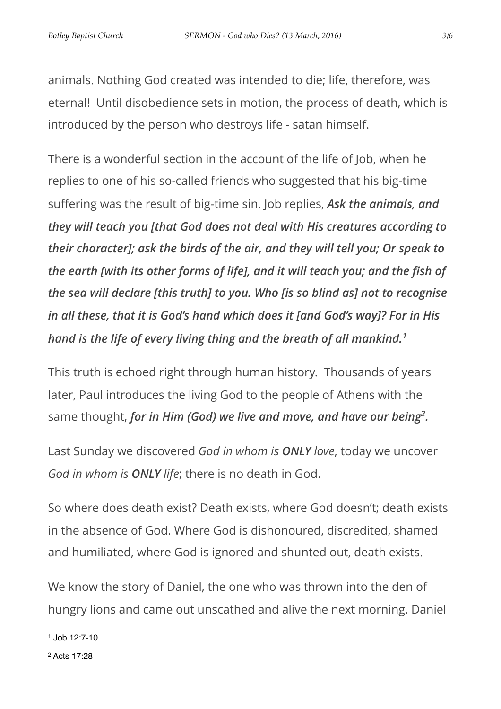animals. Nothing God created was intended to die; life, therefore, was eternal! Until disobedience sets in motion, the process of death, which is introduced by the person who destroys life - satan himself.

There is a wonderful section in the account of the life of Job, when he replies to one of his so-called friends who suggested that his big-time suffering was the result of big-time sin. Job replies, *Ask the animals, and they will teach you [that God does not deal with His creatures according to their character]; ask the birds of the air, and they will tell you; Or speak to the earth [with its other forms of life], and it will teach you; and the fish of the sea will declare [this truth] to you. Who [is so blind as] not to recognise in all these, that it is God's hand which does it [and God's way]? For in His hand is the life of every living thing and the breath of all mankind. [1](#page-2-0)*

<span id="page-2-2"></span>This truth is echoed right through human history. Thousands of years later, Paul introduces the living God to the people of Athens with the same thought, for in Him (God) we live and move, and have our being<sup>[2](#page-2-1)</sup>.

<span id="page-2-3"></span>Last Sunday we discovered *God in whom is ONLY love*, today we uncover *God in whom is ONLY life*; there is no death in God.

So where does death exist? Death exists, where God doesn't; death exists in the absence of God. Where God is dishonoured, discredited, shamed and humiliated, where God is ignored and shunted out, death exists.

We know the story of Daniel, the one who was thrown into the den of hungry lions and came out unscathed and alive the next morning. Daniel

<span id="page-2-1"></span><span id="page-2-0"></span> $1$  Job 12:7-10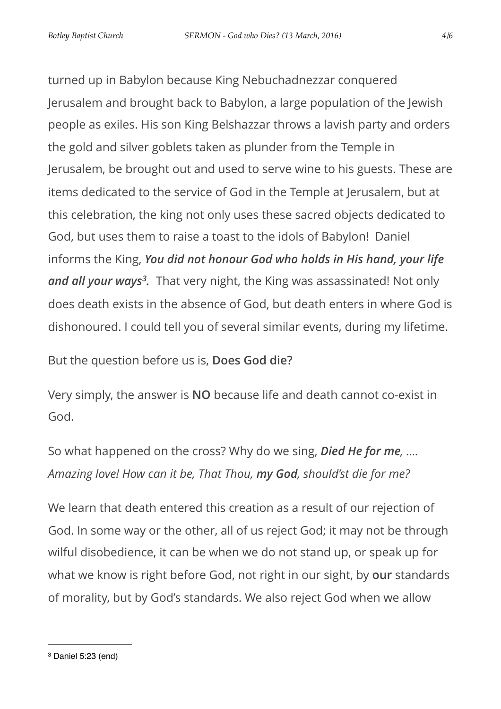turned up in Babylon because King Nebuchadnezzar conquered Jerusalem and brought back to Babylon, a large population of the Jewish people as exiles. His son King Belshazzar throws a lavish party and orders the gold and silver goblets taken as plunder from the Temple in Jerusalem, be brought out and used to serve wine to his guests. These are items dedicated to the service of God in the Temple at Jerusalem, but at this celebration, the king not only uses these sacred objects dedicated to God, but uses them to raise a toast to the idols of Babylon! Daniel informs the King, *You did not honour God who holds in His hand, your life and all your ways*<sup>[3](#page-3-0)</sup>. That very night, the King was assassinated! Not only does death exists in the absence of God, but death enters in where God is dishonoured. I could tell you of several similar events, during my lifetime.

<span id="page-3-1"></span>But the question before us is, **Does God die?**

Very simply, the answer is **NO** because life and death cannot co-exist in God.

So what happened on the cross? Why do we sing, *Died He for me, …. Amazing love! How can it be, That Thou, my God, should'st die for me?*

We learn that death entered this creation as a result of our rejection of God. In some way or the other, all of us reject God; it may not be through wilful disobedience, it can be when we do not stand up, or speak up for what we know is right before God, not right in our sight, by **our** standards of morality, but by God's standards. We also reject God when we allow

<span id="page-3-0"></span> $3$  Daniel 5:23 (end)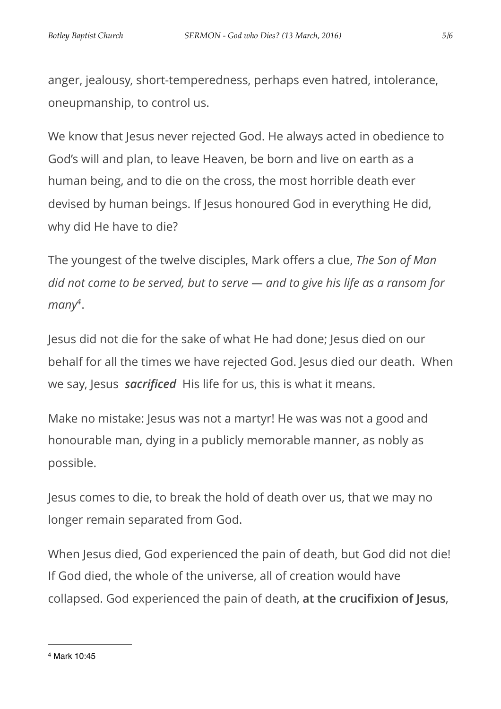anger, jealousy, short-temperedness, perhaps even hatred, intolerance, oneupmanship, to control us.

We know that Jesus never rejected God. He always acted in obedience to God's will and plan, to leave Heaven, be born and live on earth as a human being, and to die on the cross, the most horrible death ever devised by human beings. If Jesus honoured God in everything He did, why did He have to die?

The youngest of the twelve disciples, Mark offers a clue, *The Son of Man did not come to be served, but to serve — and to give his life as a ransom for*   $manV<sup>4</sup>$  $manV<sup>4</sup>$  $manV<sup>4</sup>$ .

<span id="page-4-1"></span>Jesus did not die for the sake of what He had done; Jesus died on our behalf for all the times we have rejected God. Jesus died our death. When we say, Jesus *sacrificed* His life for us, this is what it means.

Make no mistake: Jesus was not a martyr! He was was not a good and honourable man, dying in a publicly memorable manner, as nobly as possible.

Jesus comes to die, to break the hold of death over us, that we may no longer remain separated from God.

When Jesus died, God experienced the pain of death, but God did not die! If God died, the whole of the universe, all of creation would have collapsed. God experienced the pain of death, **at the crucifixion of Jesus**,

<span id="page-4-0"></span><sup>&</sup>lt;sup>[4](#page-4-1)</sup> Mark 10:45